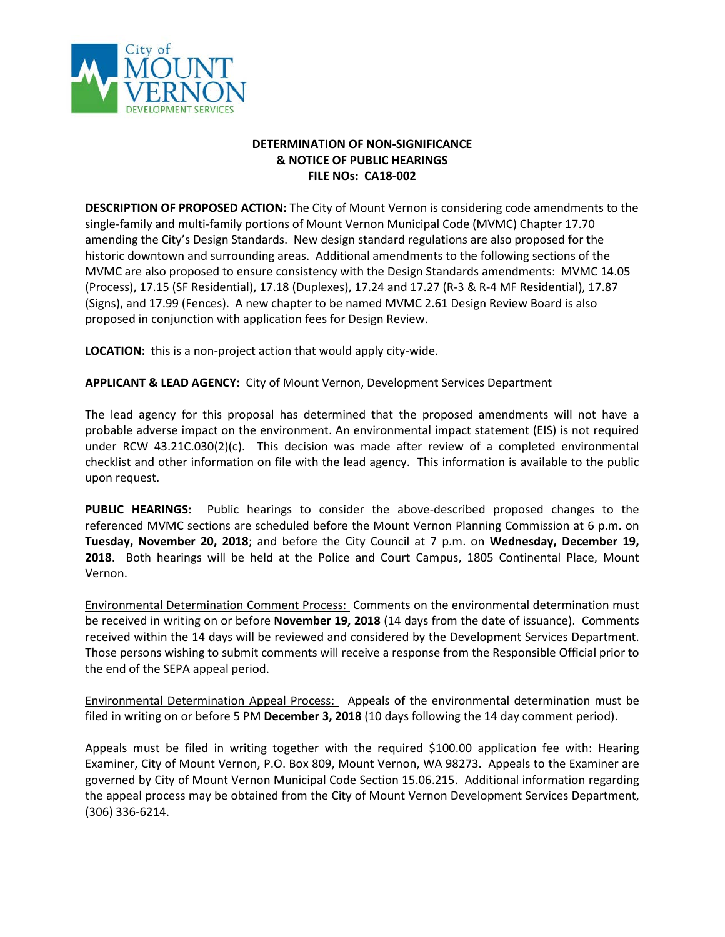

## **DETERMINATION OF NON-SIGNIFICANCE & NOTICE OF PUBLIC HEARINGS FILE NOs: CA18-002**

**DESCRIPTION OF PROPOSED ACTION:** The City of Mount Vernon is considering code amendments to the single-family and multi-family portions of Mount Vernon Municipal Code (MVMC) Chapter 17.70 amending the City's Design Standards. New design standard regulations are also proposed for the historic downtown and surrounding areas. Additional amendments to the following sections of the MVMC are also proposed to ensure consistency with the Design Standards amendments: MVMC 14.05 (Process), 17.15 (SF Residential), 17.18 (Duplexes), 17.24 and 17.27 (R-3 & R-4 MF Residential), 17.87 (Signs), and 17.99 (Fences). A new chapter to be named MVMC 2.61 Design Review Board is also proposed in conjunction with application fees for Design Review.

**LOCATION:** this is a non-project action that would apply city-wide.

**APPLICANT & LEAD AGENCY:** City of Mount Vernon, Development Services Department

The lead agency for this proposal has determined that the proposed amendments will not have a probable adverse impact on the environment. An environmental impact statement (EIS) is not required under RCW 43.21C.030(2)(c). This decision was made after review of a completed environmental checklist and other information on file with the lead agency. This information is available to the public upon request.

**PUBLIC HEARINGS:** Public hearings to consider the above-described proposed changes to the referenced MVMC sections are scheduled before the Mount Vernon Planning Commission at 6 p.m. on **Tuesday, November 20, 2018**; and before the City Council at 7 p.m. on **Wednesday, December 19, 2018**. Both hearings will be held at the Police and Court Campus, 1805 Continental Place, Mount Vernon.

Environmental Determination Comment Process: Comments on the environmental determination must be received in writing on or before **November 19, 2018** (14 days from the date of issuance). Comments received within the 14 days will be reviewed and considered by the Development Services Department. Those persons wishing to submit comments will receive a response from the Responsible Official prior to the end of the SEPA appeal period.

Environmental Determination Appeal Process: Appeals of the environmental determination must be filed in writing on or before 5 PM **December 3, 2018** (10 days following the 14 day comment period).

Appeals must be filed in writing together with the required \$100.00 application fee with: Hearing Examiner, City of Mount Vernon, P.O. Box 809, Mount Vernon, WA 98273. Appeals to the Examiner are governed by City of Mount Vernon Municipal Code Section 15.06.215. Additional information regarding the appeal process may be obtained from the City of Mount Vernon Development Services Department, (306) 336-6214.